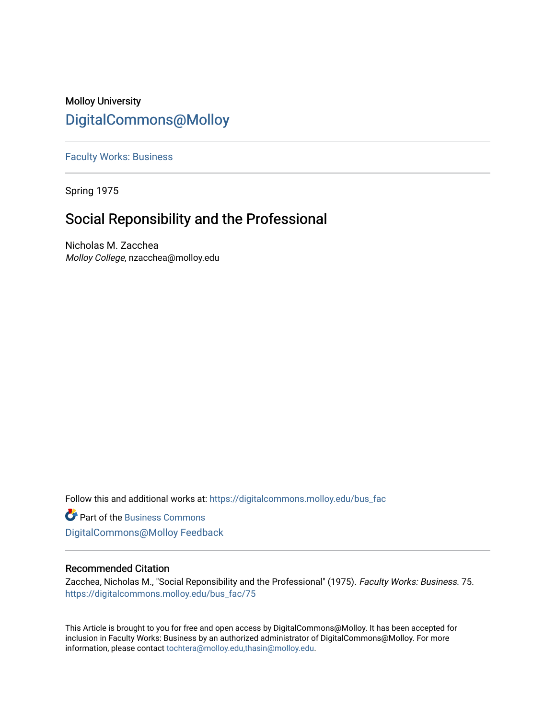# Molloy University [DigitalCommons@Molloy](https://digitalcommons.molloy.edu/)

[Faculty Works: Business](https://digitalcommons.molloy.edu/bus_fac) 

Spring 1975

# Social Reponsibility and the Professional

Nicholas M. Zacchea Molloy College, nzacchea@molloy.edu

Follow this and additional works at: [https://digitalcommons.molloy.edu/bus\\_fac](https://digitalcommons.molloy.edu/bus_fac?utm_source=digitalcommons.molloy.edu%2Fbus_fac%2F75&utm_medium=PDF&utm_campaign=PDFCoverPages)

**C** Part of the [Business Commons](https://network.bepress.com/hgg/discipline/622?utm_source=digitalcommons.molloy.edu%2Fbus_fac%2F75&utm_medium=PDF&utm_campaign=PDFCoverPages) [DigitalCommons@Molloy Feedback](https://molloy.libwizard.com/f/dcfeedback)

## Recommended Citation

Zacchea, Nicholas M., "Social Reponsibility and the Professional" (1975). Faculty Works: Business. 75. [https://digitalcommons.molloy.edu/bus\\_fac/75](https://digitalcommons.molloy.edu/bus_fac/75?utm_source=digitalcommons.molloy.edu%2Fbus_fac%2F75&utm_medium=PDF&utm_campaign=PDFCoverPages) 

This Article is brought to you for free and open access by DigitalCommons@Molloy. It has been accepted for inclusion in Faculty Works: Business by an authorized administrator of DigitalCommons@Molloy. For more information, please contact [tochtera@molloy.edu,thasin@molloy.edu.](mailto:tochtera@molloy.edu,thasin@molloy.edu)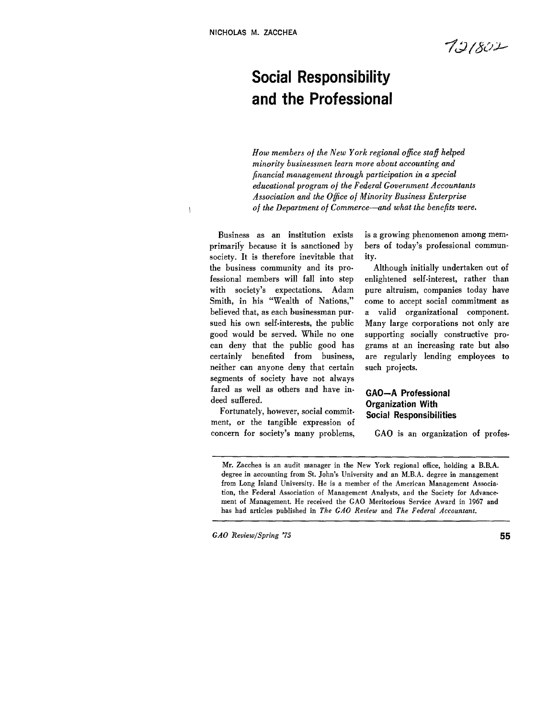$\bar{\mathbf{t}}$ 

 $7.21802$ 

# **Social Responsibility and the Professional**

*How members* of *the New York regional ofice staff helped minority businessmen learn more about accounting and financial management through participation in a special educational program* **of** *the Federal Government Accountants Association and the Ofice of Minority Business Enterprise*  of *the Department of Commerce-and what the benefits were.* 

Business as an institution exists primarily because it is sanctioned by society. It is therefore inevitable that the business community and its professional members will fall into step with society's expectations. Adam Smith, in his "Wealth of Nations," believed that, as each businessman pursued his own self-interests, the public good would be served. While no one can deny that the public good has certainly benefited from business, neither can anyone deny that certain segments of society have not always fared as well as others and have indeed suffered.

Fortunately, however, social commitment, or the tangible expression of concern for society's many problems,

is a growing phenomenon among members of today's professional community.

Although initially undertaken out of enlightened self-interest, rather than pure altruism, companies today have come to accept social commitment **as**  a valid organizational component. Many large corporations not only are supporting socially constructive programs at an increasing rate but also are regularly lending employees *to*  such projects.

### **GAO-A Professional Organization With Social Responsibilities**

GAO is an organization **of** profes-

Mr. Zacchea is an audit manager in the New York regional office, holding a **B.B.A.**  degree in accounting from St. John's University and an M.B.A. degree in management from Long Island University. He is a member of the American Management Association, the Federal Association of Management Analysts, and the Society for Advancement **of** Management. He received the GAO Meritorious Service Award in **1967** and has had articles published in The GAO Review and *The* Federal Accountant.

*GAO* Review/Spring **'75 55**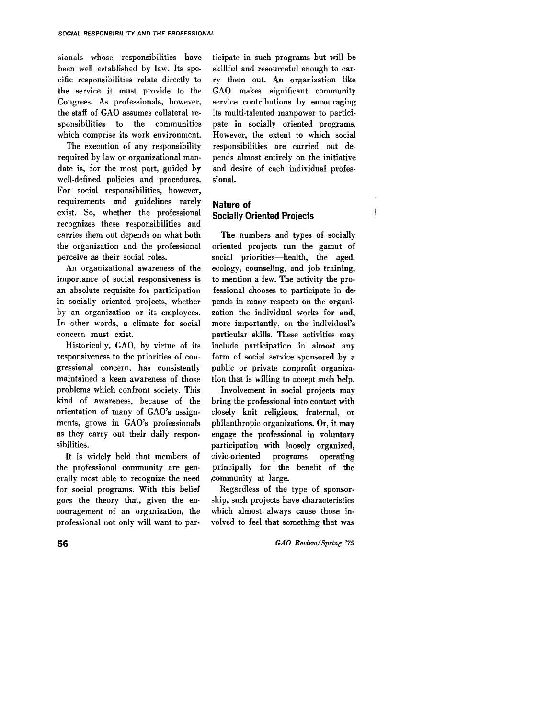sionals whose responsibilities have been well established by law. Its specific responsibilities relate directly to the service it must provide to the Congress. As professionals, however, the staff of GAO assumes collateral responsibilities to the communities which comprise its work environment.

The execution of any responsibility required by law or organizational mandate is, for the most part, guided by well-defined policies and procedures. For social responsibilities, however, requirements and guidelines rarely exist. So, whether the professional recognizes these responsibilities and carries them out depends on what both the organization and the professional perceive as their social roles.

An organizational awareness of the importance of social responsiveness is an absolute requisite for participation in socially oriented projects, whether by an organization or its employees. In other words, a climate for social concern must exist.

Historically, GAO, by virtue of its responsiveness to the priorities of congressional concern, has consistently maintained a keen awareness of those problems which confront society. This kind of awareness, because of the orientation of many of GAO's assignments, grows in GAO's professionals as they carry out their daily responsibilities.

It is widely held that members of the professional community are generally most able to recognize the need for social programs. With this belief goes the theory that, given the encouragement of an organization, the professional not only will want **to** participate in such programs but will be skillful and resourceful enough to car**ry** them out. An organization like GAO makes significant community service contributions by encouraging its multi-talented manpower to participate in socially oriented programs. However, the extent to which social responsibilities are carried out depends almost entirely on the initiative and desire of each individual professional.

## **Nature of Socially Oriented Projects**

The numbers and types of socially oriented projects run the gamut of social priorities-health, the aged, ecology, counseling, and job training, to mention a few. The activity the professional chooses to participate in depends in many respects on the organization the individual works **for** and, more importantly, on the individual's particular skills. These activities may include participation in almost any form of social service sponsored by a public **or** private nonprofit organization that is willing to accept such help.

Involvement in social projects may bring the professional into contact with closely knit religious, fraternal, or philanthropic organizations. Or, it may engage the professional in voluntary participation with loosely organized, civic-oriented programs operating principally for the benefit of the ,community at large.

Regardless **of** the type of sponsorship, such projects have characteristics which almost always cause those involved to feel that something that was

**56** *GAO Review/Spring* **'75**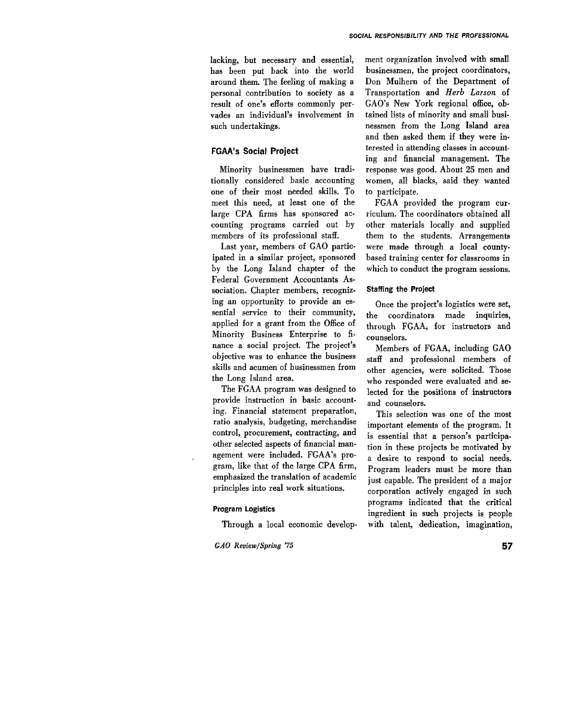lacking, but necessary and essential, has been put back into the world around them. The feeling of making a personal contribution to society as a result of one's efforts commonly pervades an individual's involvement in such undertakings.

#### **FGAA's Social Project**

Minority businessmen have traditionally considered basic accounting one of their most needed skills. TO meet this need, at least one of the large CPA firms has sponsored accounting programs carried out by members of its professional staff.

Last year, members of GAO participated in a similar project, sponsored by the Long Island chapter of the Federal Government Accountants Association. Chapter members, recognizing an opportunity to provide an essential service to their community, applied for a grant from the Office of Minority Business Enterprise to finance a social project. The project's objective was to enhance the business skills and acumen of businessmen from the Long Island area.

The FGAA program was designed to provide instruction in basic accounting. Financial statement preparation, ratio analysis, budgeting, merchandise control, procurement, contracting, and other selected aspects **of** financial management were included. FGAA's program, like that of the large CPA firm, emphasized the translation of academic principles into real work situations.

#### **Program Logistics**

Through a local economic develop-

*GAO Review/Spring* **'75 57** 

ment organization involved with small businessmen, the project coordinators, Don Mulhern of the Department of Transportation and *Herb Larson* of GAO's New York regional office, obtained lists of minority and small businessmen from the Long Island area and then asked them if they were interested in attending classes in accounting and financial management. The response was good. About **25** men and women, all blacks, said they wanted to participate.

FGAA provided the program curriculum. The coordinators obtained all other materials locally and supplied them to the students. Arrangements were made through a local countybased training center for classrooms in which to conduct the program sessions.

#### **Staffing the Project**

Once the project's logistics were set, the coordinators made inquiries, through FGAA, **for** instructors and counselors.

Members of FGAA, including GAO staff and professional members of other agencies, were solicited. Those who responded were evaluated and selected for the positions of instructors and counselors.

This selection was one of the most important elements of the program. It is essential that a person's participation in these projects be motivated by a desire to respond to social needs. Program leaders must be more than just capable. The president of a major corporation actively engaged in such programs indicated that the critical ingredient in such projects is people with talent, dedication, imagination,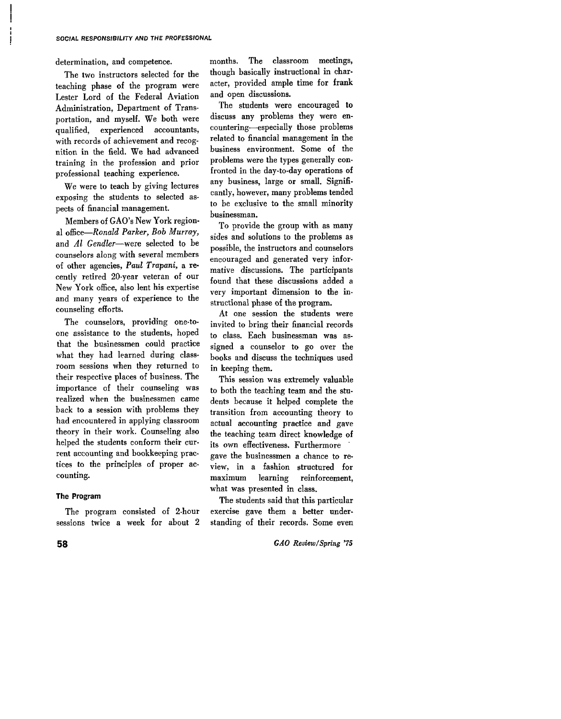determination, and competence.

The two instructors selected for the teaching phase **of** the program were Lester Lord **of** the Federal Aviation Administration, Department of Transportation, and myself. We both were qualified, experienced accountants, with records of achievement and recognition in the field. We had advanced training in the profession and prior professional teaching experience.

We were to teach by giving lectures exposing the students to selected aspects **of** financial management.

Members **of GAO's** New York regional office-Ronald *Parker, Bob Murray,*  and *Al Gendler*-were selected to be counselors along with several members of other agencies, *Paul Trapani,* **a** recently retired 20-year veteran of our New York office, also lent his expertise and many years **of** experience to the counseling efforts.

The counselors, providing one-toone assistance to the students, hoped that the businessmen could practice what they had learned during classroom sessions when they returned to their respective places of business. The importance of their counseling was realized when the businessmen came back to a session with problems they had encountered in applying classroom theory in their work. Counseling also helped the students conform their current accounting and bookkeeping practices to the principles of proper ac. counting.

#### **The Program**

The program consisted of 2-hour sessions twice a week for about 2 months. The classroom meetings, though basically instructional in character, provided ample time for frank and open discussions.

The students were encouraged to discuss any problems they were encountering-especially those problems related to financial management in the business environment. Some of the problems were the types generally confronted in the day-to-day operations of any business, large or small. Significantly, however, many problems tended to be exclusive to the small minority businessman.

To provide the group with as many sides and solutions to the problems as possible, the instructors and counselors encouraged and generated very informative discussions. The participants found that these discussions added a very important dimension to the instructional phase of the program.

At one session the students were invited to bring their financial records to class. Each businessman was assigned a counselor to go over the books and discuss the techniques used in keeping them.

This session was extremely valuable to both the teaching team and the students because it helped complete the transition from accounting theory to actual accounting practice and gave the teaching team direct knowledge of its own effectiveness. Furthermore ' gave the businessmen a chance to review, in a fashion structured **for**  maximum learning reinforcement, what was presented in class.

The students said that this particular exercise gave them a better understanding of their records. Some even

**58** *GAO ReviewlSpring* **'75**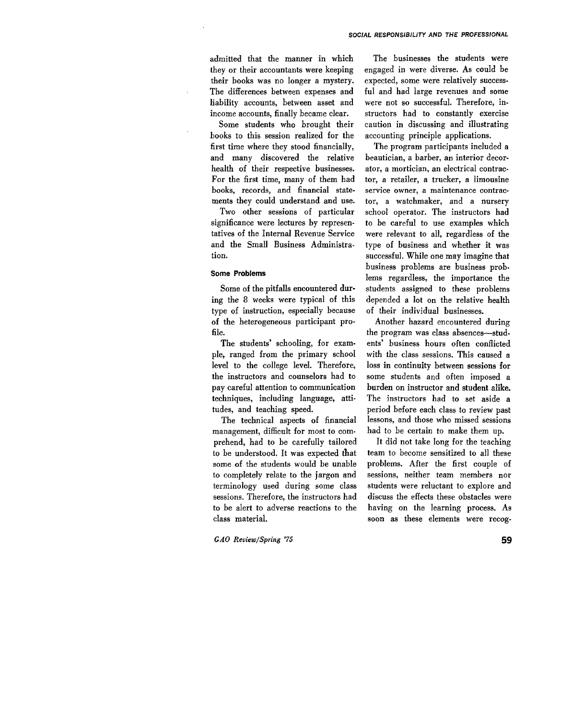admitted that the manner in which they or their accountants were keeping their books was no longer a mystery. The differences between expenses and liability accounts, between asset and income accounts, finally became clear.

Some students who brought their books to this session realized for the first time where they stood financially, and many discovered the relative health of their respective businesses. For the first time, many of them had books, records, and financial statements they could understand and use.

Two other sessions of particular significance were lectures by representatives of the Internal Revenue Service and the Small Business Administration.

#### **Some Problems**

Some of the pitfalls encountered during the 8 weeks were typical of this type of instruction, especially because **of** the heterogeneous participant pro**file.** 

The students' schooling, for example, ranged from the primary school level to the college level. Therefore, the instructors and counselors had to pay careful attention to communication techniques, including language, attitudes, and teaching speed.

The technical aspects of financial management, difficult for most to comprehend, had to be carefully tailored to be understood. It was expected that some of the students would be unable to completely relate to the jargon and terminology used during some class sessions. Therefore, the instructors had to be alert to adverse reactions to the class material.

*GAO Review/Spring* **'75 59** 

The businesses the students were engaged in were diverse. As could be expected, some were relatively successful and had large revenues and some were not so successful. Therefore, instructors had to constantly exercise caution in discussing and illustrating accounting principle applications.

The program participants included a beautician, a barber, an interior decorator, a mortician, an electrical contractor, a retailer, a trucker, a limousine service owner, a maintenance contractor, a watchmaker, and a nursery school operator. The instructors had to be careful to use examples which were relevant to all, regardless of the type of business and whether it was successful. While one may imagine that business problems are business problems regardless, the importance the students assigned to these problems depended a lot on the relative health of their individual businesses.

Another hazard encountered during the program was class absences-students' business hours often conflicted with the class sessions. This caused a loss in continuity between sessions for some students and often imposed a burden on instructor and student alike. The instructors had to set aside a period before each class *to* review past lessons, and those who missed sessions had to be certain to make them up.

It did not take long for the teaching team to become sensitized to all these problems. After the first couple of sessions, neither team members nor students were reluctant to explore and discuss the effects these obstacles were having on the learning process. As soon as these elements were recog